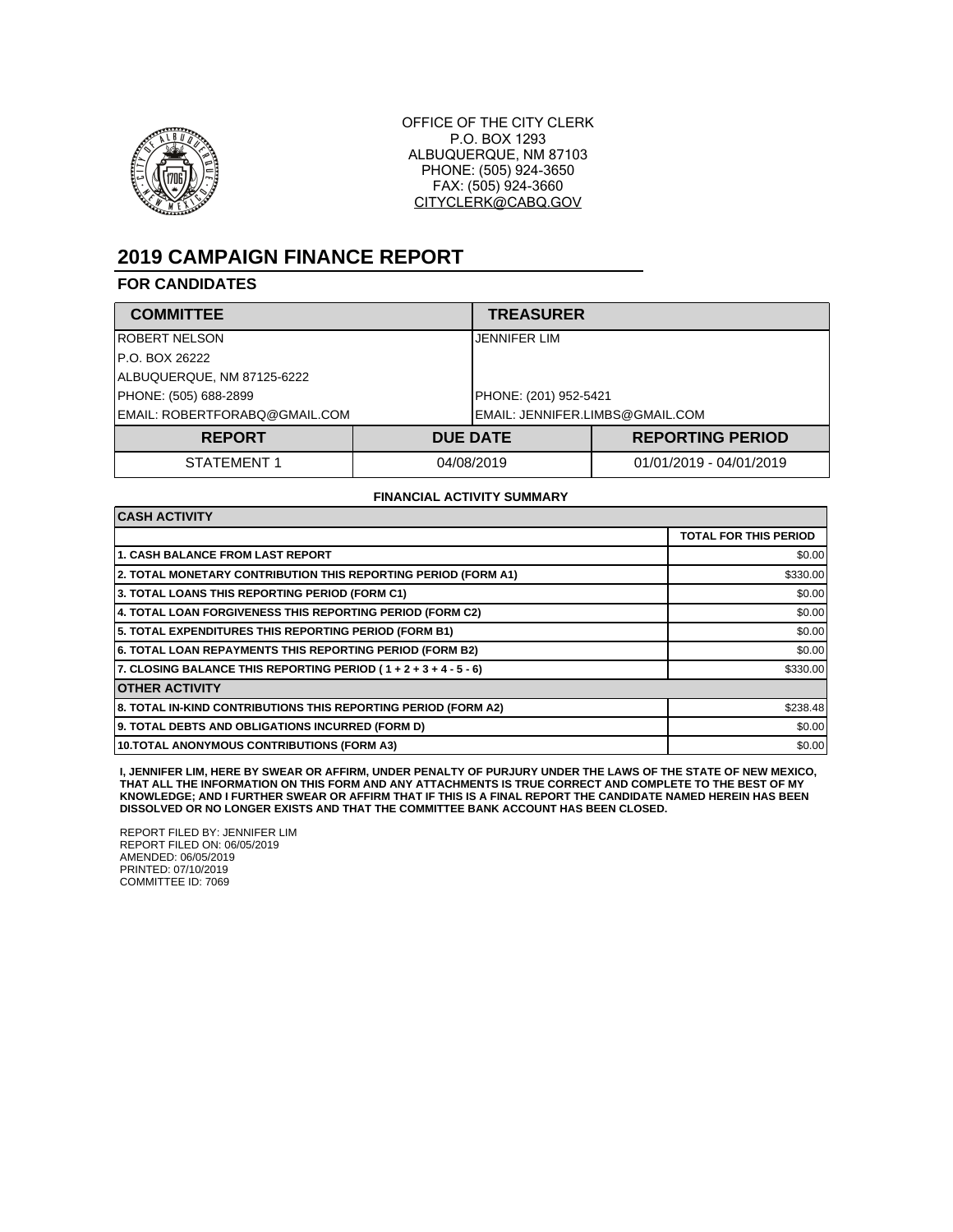

OFFICE OF THE CITY CLERK P.O. BOX 1293 ALBUQUERQUE, NM 87103 PHONE: (505) 924-3650 FAX: (505) 924-3660 CITYCLERK@CABQ.GOV

# **2019 CAMPAIGN FINANCE REPORT**

### **FOR CANDIDATES**

| <b>COMMITTEE</b>              | <b>TREASURER</b>                |                         |
|-------------------------------|---------------------------------|-------------------------|
| IROBERT NELSON                | JENNIFER LIM                    |                         |
| IP.O. BOX 26222               |                                 |                         |
| ALBUQUERQUE, NM 87125-6222    |                                 |                         |
| PHONE: (505) 688-2899         | PHONE: (201) 952-5421           |                         |
| EMAIL: ROBERTFORABQ@GMAIL.COM | EMAIL: JENNIFER.LIMBS@GMAIL.COM |                         |
| <b>REPORT</b>                 | <b>DUE DATE</b>                 | <b>REPORTING PERIOD</b> |
| STATEMENT 1                   | 04/08/2019                      | 01/01/2019 - 04/01/2019 |

#### **FINANCIAL ACTIVITY SUMMARY**

| <b>CASH ACTIVITY</b>                                             |                              |  |
|------------------------------------------------------------------|------------------------------|--|
|                                                                  | <b>TOTAL FOR THIS PERIOD</b> |  |
| <b>1. CASH BALANCE FROM LAST REPORT</b>                          | \$0.00                       |  |
| 2. TOTAL MONETARY CONTRIBUTION THIS REPORTING PERIOD (FORM A1)   | \$330.00                     |  |
| 3. TOTAL LOANS THIS REPORTING PERIOD (FORM C1)                   | \$0.00                       |  |
| 4. TOTAL LOAN FORGIVENESS THIS REPORTING PERIOD (FORM C2)        | \$0.00                       |  |
| 5. TOTAL EXPENDITURES THIS REPORTING PERIOD (FORM B1)            | \$0.00                       |  |
| <b>6. TOTAL LOAN REPAYMENTS THIS REPORTING PERIOD (FORM B2)</b>  | \$0.00                       |  |
| 7. CLOSING BALANCE THIS REPORTING PERIOD (1 + 2 + 3 + 4 - 5 - 6) | \$330.00                     |  |
| <b>OTHER ACTIVITY</b>                                            |                              |  |
| 8. TOTAL IN-KIND CONTRIBUTIONS THIS REPORTING PERIOD (FORM A2)   | \$238.48                     |  |
| 9. TOTAL DEBTS AND OBLIGATIONS INCURRED (FORM D)                 | \$0.00                       |  |
| 10. TOTAL ANONYMOUS CONTRIBUTIONS (FORM A3)                      | \$0.00                       |  |

I, JENNIFER LIM, HERE BY SWEAR OR AFFIRM, UNDER PENALTY OF PURJURY UNDER THE LAWS OF THE STATE OF NEW MEXICO,<br>THAT ALL THE INFORMATION ON THIS FORM AND ANY ATTACHMENTS IS TRUE CORRECT AND COMPLETE TO THE BEST OF MY<br>KNOWLED

REPORT FILED BY: JENNIFER LIM REPORT FILED ON: 06/05/2019 AMENDED: 06/05/2019 PRINTED: 07/10/2019 COMMITTEE ID: 7069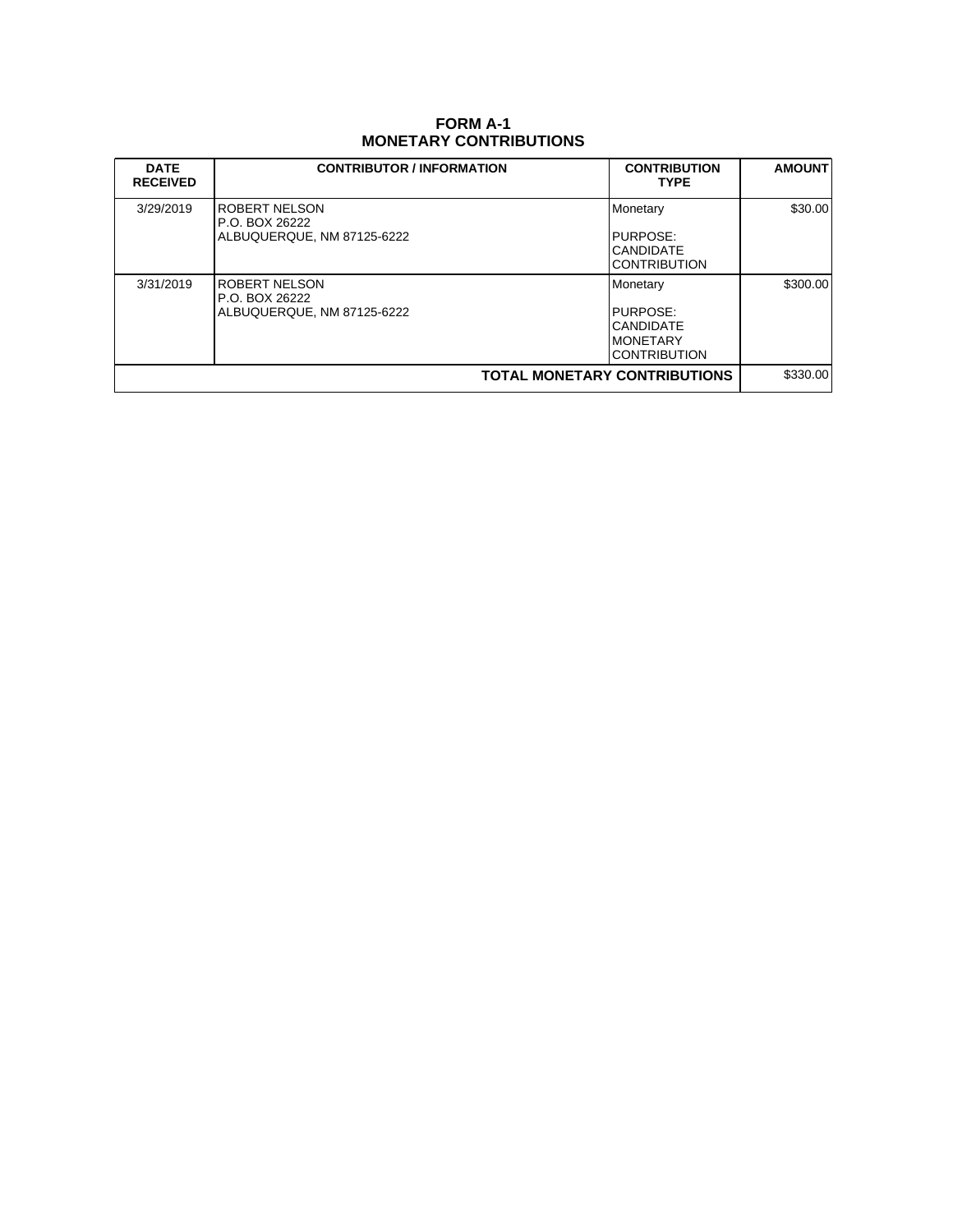## **FORM A-1 MONETARY CONTRIBUTIONS**

| <b>DATE</b><br><b>RECEIVED</b> | <b>CONTRIBUTOR / INFORMATION</b>                              | <b>CONTRIBUTION</b><br><b>TYPE</b>                                           | <b>AMOUNT</b> |
|--------------------------------|---------------------------------------------------------------|------------------------------------------------------------------------------|---------------|
| 3/29/2019                      | ROBERT NELSON<br>P.O. BOX 26222<br>ALBUQUERQUE, NM 87125-6222 | Monetary<br>PURPOSE:<br><b>CANDIDATE</b><br><b>CONTRIBUTION</b>              | \$30.00       |
| 3/31/2019                      | ROBERT NELSON<br>P.O. BOX 26222<br>ALBUQUERQUE, NM 87125-6222 | Monetary<br>PURPOSE:<br><b>CANDIDATE</b><br>IMONETARY<br><b>CONTRIBUTION</b> | \$300.00      |
|                                |                                                               | <b>TOTAL MONETARY CONTRIBUTIONS</b>                                          | \$330.00      |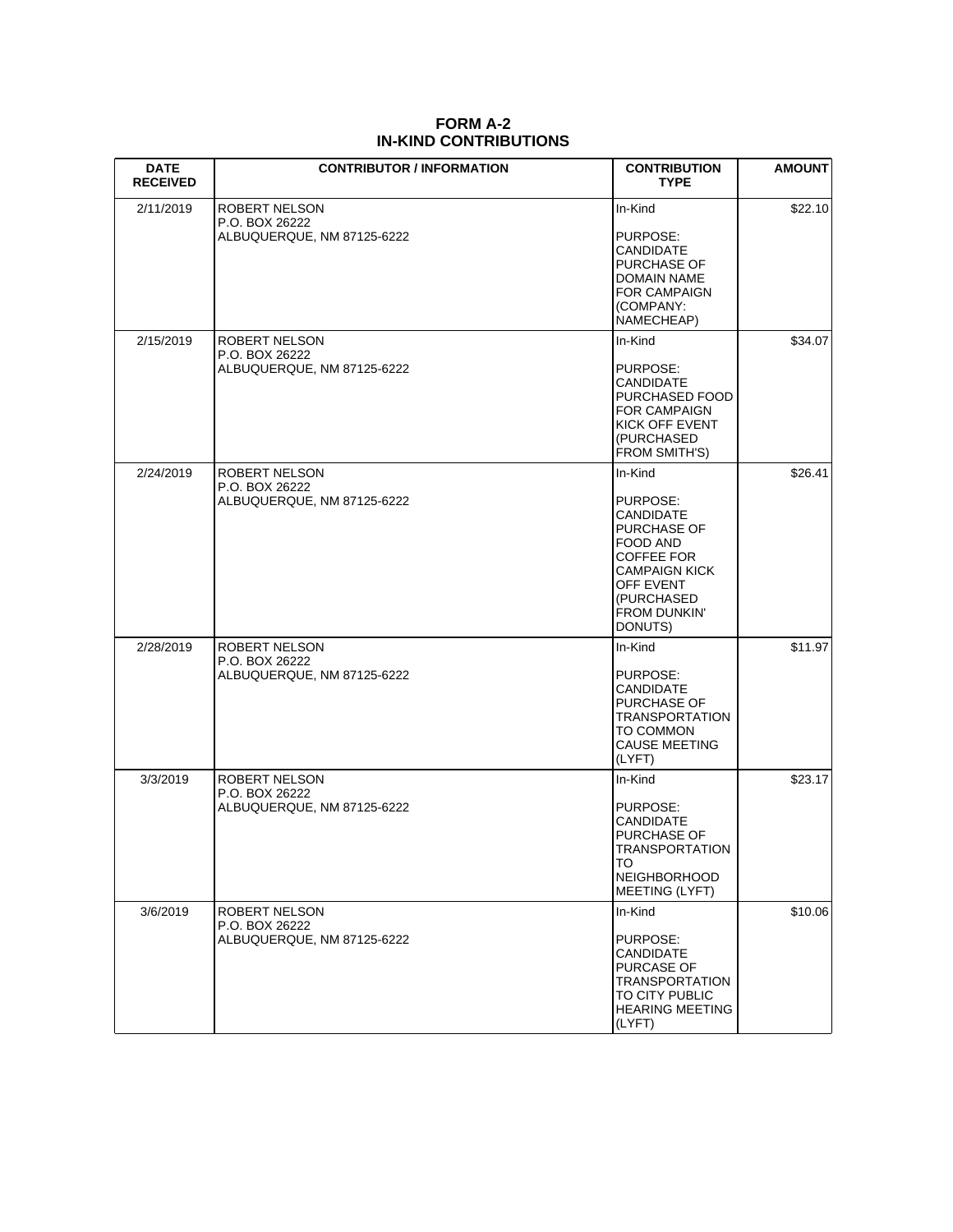| <b>DATE</b><br><b>RECEIVED</b> | <b>CONTRIBUTOR / INFORMATION</b>                              | <b>CONTRIBUTION</b><br><b>TYPE</b>                                                                                                                             | <b>AMOUNT</b> |
|--------------------------------|---------------------------------------------------------------|----------------------------------------------------------------------------------------------------------------------------------------------------------------|---------------|
| 2/11/2019                      | ROBERT NELSON<br>P.O. BOX 26222<br>ALBUQUERQUE, NM 87125-6222 | In-Kind<br>PURPOSE:<br>CANDIDATE<br>PURCHASE OF<br>DOMAIN NAME<br><b>FOR CAMPAIGN</b><br>(COMPANY:<br>NAMECHEAP)                                               | \$22.10       |
| 2/15/2019                      | ROBERT NELSON<br>P.O. BOX 26222<br>ALBUQUERQUE, NM 87125-6222 | In-Kind<br>PURPOSE:<br>CANDIDATE<br>PURCHASED FOOD<br>FOR CAMPAIGN<br>KICK OFF EVENT<br>(PURCHASED<br><b>FROM SMITH'S)</b>                                     | \$34.07       |
| 2/24/2019                      | ROBERT NELSON<br>P.O. BOX 26222<br>ALBUQUERQUE, NM 87125-6222 | In-Kind<br>PURPOSE:<br>CANDIDATE<br>PURCHASE OF<br>FOOD AND<br>COFFEE FOR<br><b>CAMPAIGN KICK</b><br>OFF EVENT<br>(PURCHASED<br><b>FROM DUNKIN'</b><br>DONUTS) | \$26.41       |
| 2/28/2019                      | ROBERT NELSON<br>P.O. BOX 26222<br>ALBUQUERQUE, NM 87125-6222 | In-Kind<br>PURPOSE:<br>CANDIDATE<br>PURCHASE OF<br><b>TRANSPORTATION</b><br>TO COMMON<br><b>CAUSE MEETING</b><br>(LYFT)                                        | \$11.97       |
| 3/3/2019                       | ROBERT NELSON<br>P.O. BOX 26222<br>ALBUQUERQUE, NM 87125-6222 | In-Kind<br>PURPOSE:<br>CANDIDATE<br>PURCHASE OF<br><b>TRANSPORTATION</b><br>TO<br><b>NEIGHBORHOOD</b><br><b>MEETING (LYFT)</b>                                 | \$23.17       |
| 3/6/2019                       | ROBERT NELSON<br>P.O. BOX 26222<br>ALBUQUERQUE, NM 87125-6222 | In-Kind<br>PURPOSE:<br>CANDIDATE<br>PURCASE OF<br><b>TRANSPORTATION</b><br>TO CITY PUBLIC<br><b>HEARING MEETING</b><br>(LYFT)                                  | \$10.06       |

### **FORM A-2 IN-KIND CONTRIBUTIONS**